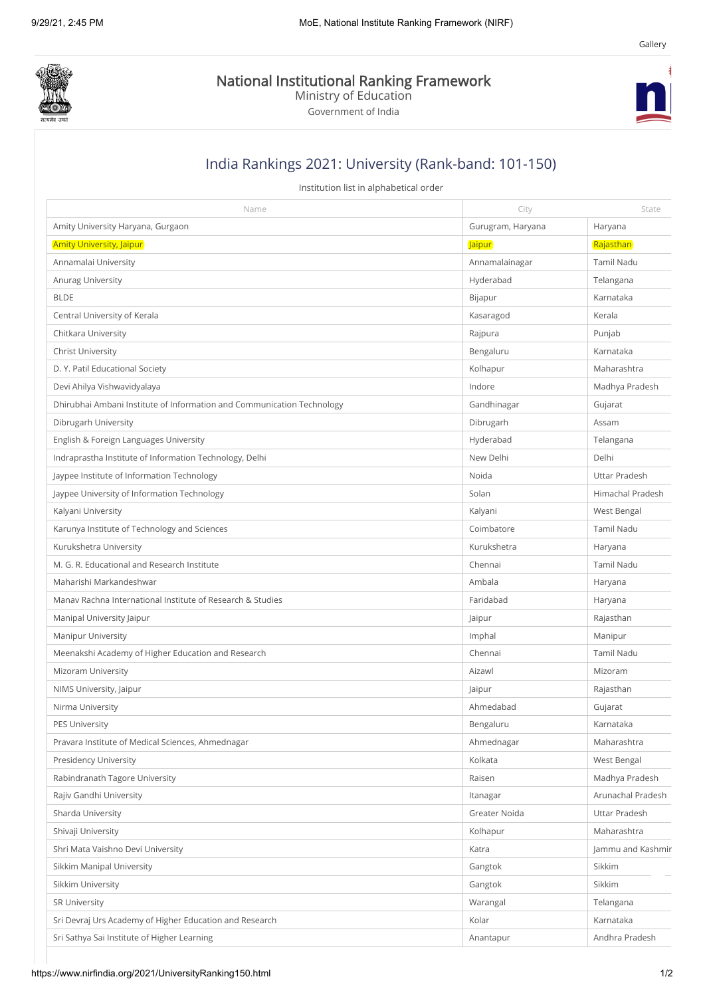

National Institutional Ranking Framework

Ministry of Education

Government of India



[Gallery](https://www.nirfindia.org/GalleryView)

## India Rankings 2021: University (Rank-band: 101-150)

Institution list in alphabetical order

| Name                                                                   | City              | State             |
|------------------------------------------------------------------------|-------------------|-------------------|
| Amity University Haryana, Gurgaon                                      | Gurugram, Haryana | Haryana           |
| <b>Amity University, Jaipur</b>                                        | <b>Jaipur</b>     | Rajasthan         |
| Annamalai University                                                   | Annamalainagar    | <b>Tamil Nadu</b> |
| Anurag University                                                      | Hyderabad         | Telangana         |
| <b>BLDE</b>                                                            | Bijapur           | Karnataka         |
| Central University of Kerala                                           | Kasaragod         | Kerala            |
| Chitkara University                                                    | Rajpura           | Punjab            |
| <b>Christ University</b>                                               | Bengaluru         | Karnataka         |
| D. Y. Patil Educational Society                                        | Kolhapur          | Maharashtra       |
| Devi Ahilya Vishwavidyalaya                                            | Indore            | Madhya Pradesh    |
| Dhirubhai Ambani Institute of Information and Communication Technology | Gandhinagar       | Gujarat           |
| Dibrugarh University                                                   | Dibrugarh         | Assam             |
| English & Foreign Languages University                                 | Hyderabad         | Telangana         |
| Indraprastha Institute of Information Technology, Delhi                | New Delhi         | Delhi             |
| Jaypee Institute of Information Technology                             | Noida             | Uttar Pradesh     |
| Jaypee University of Information Technology                            | Solan             | Himachal Pradesh  |
| Kalyani University                                                     | Kalyani           | West Bengal       |
| Karunya Institute of Technology and Sciences                           | Coimbatore        | Tamil Nadu        |
| Kurukshetra University                                                 | Kurukshetra       | Haryana           |
| M. G. R. Educational and Research Institute                            | Chennai           | Tamil Nadu        |
| Maharishi Markandeshwar                                                | Ambala            | Haryana           |
| Manav Rachna International Institute of Research & Studies             | Faridabad         | Haryana           |
| Manipal University Jaipur                                              | Jaipur            | Rajasthan         |
| <b>Manipur University</b>                                              | Imphal            | Manipur           |
| Meenakshi Academy of Higher Education and Research                     | Chennai           | Tamil Nadu        |
| Mizoram University                                                     | Aizawl            | Mizoram           |
| NIMS University, Jaipur                                                | Jaipur            | Rajasthan         |
| Nirma University                                                       | Ahmedabad         | Gujarat           |
| <b>PES University</b>                                                  | Bengaluru         | Karnataka         |
| Pravara Institute of Medical Sciences, Ahmednagar                      | Ahmednagar        | Maharashtra       |
| <b>Presidency University</b>                                           | Kolkata           | West Bengal       |
| Rabindranath Tagore University                                         | Raisen            | Madhya Pradesh    |
| Rajiv Gandhi University                                                | Itanagar          | Arunachal Pradesh |
| Sharda University                                                      | Greater Noida     | Uttar Pradesh     |
| Shivaji University                                                     | Kolhapur          | Maharashtra       |
| Shri Mata Vaishno Devi University                                      | Katra             | Jammu and Kashmir |
| Sikkim Manipal University                                              | Gangtok           | Sikkim            |
| Sikkim University                                                      | Gangtok           | Sikkim            |
| SR University                                                          | Warangal          | Telangana         |
| Sri Devraj Urs Academy of Higher Education and Research                | Kolar             | Karnataka         |
| Sri Sathya Sai Institute of Higher Learning                            | Anantapur         | Andhra Pradesh    |